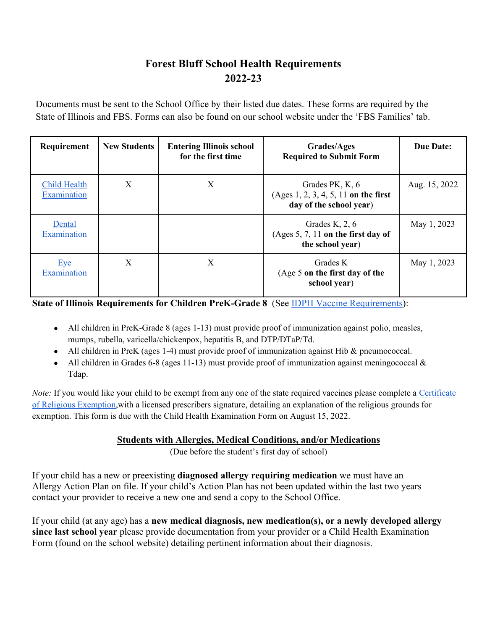## **Forest Bluff School Health Requirements 2022-23**

Documents must be sent to the School Office by their listed due dates. These forms are required by the State of Illinois and FBS. Forms can also be found on our school website under the 'FBS Families' tab.

| Requirement                        | <b>New Students</b> | <b>Entering Illinois school</b><br>for the first time | <b>Grades/Ages</b><br><b>Required to Submit Form</b>                                 | <b>Due Date:</b> |
|------------------------------------|---------------------|-------------------------------------------------------|--------------------------------------------------------------------------------------|------------------|
| <b>Child Health</b><br>Examination | X                   | X                                                     | Grades PK, K, 6<br>(Ages $1, 2, 3, 4, 5, 11$ on the first<br>day of the school year) | Aug. 15, 2022    |
| Dental<br>Examination              |                     |                                                       | Grades K, $2, 6$<br>(Ages $5, 7, 11$ on the first day of<br>the school year)         | May 1, 2023      |
| Eye<br>Examination                 | X                   | X                                                     | Grades K<br>(Age 5 on the first day of the<br>school year)                           | May 1, 2023      |

**State of Illinois Requirements for Children PreK-Grade 8** (See IDPH Vaccine Requirements):

- All children in PreK-Grade 8 (ages 1-13) must provide proof of immunization against polio, measles, mumps, rubella, varicella/chickenpox, hepatitis B, and DTP/DTaP/Td.
- All children in PreK (ages 1-4) must provide proof of immunization against Hib & pneumococcal.
- All children in Grades 6-8 (ages 11-13) must provide proof of immunization against meningococcal  $\&$ Tdap.

*Note:* If you would like your child to be exempt from any one of the state required vaccines please complete a Certificate of Religious Exemption,with a licensed prescribers signature, detailing an explanation of the religious grounds for exemption. This form is due with the Child Health Examination Form on August 15, 2022.

## **Students with Allergies, Medical Conditions, and/or Medications**

(Due before the student's first day of school)

If your child has a new or preexisting **diagnosed allergy requiring medication** we must have an Allergy Action Plan on file. If your child's Action Plan has not been updated within the last two years contact your provider to receive a new one and send a copy to the School Office.

If your child (at any age) has a **new medical diagnosis, new medication(s), or a newly developed allergy since last school year** please provide documentation from your provider or a Child Health Examination Form (found on the school website) detailing pertinent information about their diagnosis.